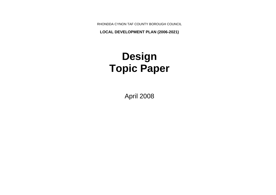RHONDDA CYNON TAF COUNTY BOROUGH COUNCIL

**LOCAL DEVELOPMENT PLAN (2006-2021)**

# **Design Topic Paper**

April 2008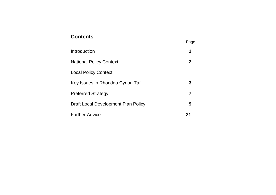# **Contents**<br>
Page

| Introduction                               | 1              |
|--------------------------------------------|----------------|
| <b>National Policy Context</b>             | 2 <sup>1</sup> |
| <b>Local Policy Context</b>                |                |
| Key Issues in Rhondda Cynon Taf            | 3              |
| <b>Preferred Strategy</b>                  |                |
| <b>Draft Local Development Plan Policy</b> | 9              |
| <b>Further Advice</b>                      | 21             |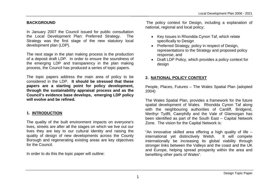#### **BACKGROUND**

In January 2007 the Council issued for public consultation the Local Development Plan: Preferred Strategy. The Strategy was the first stage of the new statutory local development plan (LDP).

The next stage in the plan making process is the production of a deposit draft LDP. In order to ensure the soundness of the emerging LDP and transparency in the plan making process, the Council has produced a series of topic papers.

The topic papers address the main area of policy to be considered in the LDP. **It should be stressed that these papers are a starting point for policy development, through the sustainability appraisal process and as the Council's evidence base develops, emerging LDP policy will evolve and be refined.**

# **1. INTRODUCTION**

The quality of the built environment impacts on everyone's lives, streets are after all the stages on which we live out our lives they are key to our cultural identity and raising the quality of design of new developments across the County Borough and regenerating existing areas are key objectives for the Council.

In order to do this the topic paper will outline:

The policy context for Design, including a explanation of national, regional and local policy;

- Key Issues in Rhondda Cynon Taf, which relate specifically to Design
- Preferred Strategy, policy in respect of Design, representations to the Strategy and proposed policy response, and
- Draft LDP Policy, which provides a policy context for design

# **2. NATIONAL POLICY CONTEXT**

People, Places, Futures – The Wales Spatial Plan (adopted 2004)

The Wales Spatial Plan, provides a framework for the future spatial development of Wales. Rhondda Cynon Taf along with the neighbouring authorities of Cardiff, Bridgend, Merthyr Tydfil, Caerphilly and the Vale of Glamorgan has been identified as part of the South East – Capital Network Zone. The vision for the Capital Network is:

"An innovative skilled area offering a high quality of life – international yet distinctively Welsh. It will compete internationally be increasing its global viability through stronger links between the Valleys and the coast and the UK and Europe, helping spread prosperity within the area and benefiting other parts of Wales".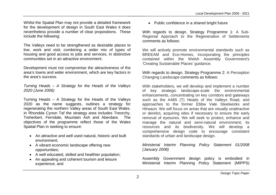Whilst the Spatial Plan may not provide a detailed framework for the development of design in South East Wales it does nevertheless provide a number of clear propositions. These include the following:

The Valleys need to be strengthened as desirable places to live, work and visit; combining a wider mix of types of housing and good access to jobs and services, in distinctive communities set in an attractive environment.

Development must not compromise the attractiveness of the area's towns and wider environment, which are key factors in the area's success.

*Turning Heads – A Strategy for the Heads of the Valleys 2020 (June 2006)*

Turning Heads – A Strategy for the Heads of the Valleys 2020 as the name suggests, outlines a strategy for regenerating the northern Valley areas of South East Wales. In Rhondda Cynon Taf the strategy area includes Treorchy, Treherbert, Ferndale, Mountain Ash and Aberdare. The objectives of the programme reflect those of the Wales Spatial Plan in seeking to ensure:

- An attractive and well used natural, historic and built environment;
- A vibrant economic landscape offering new opportunities;
- A well educated, skilled and healthier population;
- An appealing and coherent tourism and leisure experience, and

• Public confidence in a shared bright future

With regards to design, Strategy Programme 1: A Sub-Regional Approach to the Regeneration of Settlements comments as follows:

We will actively promote environmental standards such as BREEAM and Eco-Homes, incorporating the principles contained within the Welsh Assembly Government's 'Creating Sustainable Places' guidance.

With regards to design, Strategy Programme 2: A Perception Changing Landscape comments as follows:

With stakeholders, we will develop and implement a number of key strategic landscape-scale the environmental enhancements, concentrating on key corridors and gateways such as the A465 (T) Heads of the Valleys Road, and approaches to the former Ebbw Vale Steelworks and Hirwaun. We will focus on areas that are visually unattractive or derelict, acquiring sites if necessary to ensure the early removal of eyesores. We will seek to protect, enhance and manage the natural and semi-natural environment, its resources and its biodiversity. We will develop a comprehensive design code to encourage consistent standards of urban and landscape design.

*Ministerial Interim Planning Policy Statement 01/2008 (January 2008)* 

Assembly Government design policy is embodied in Ministerial Interim Planning Policy Statement (MIPPS)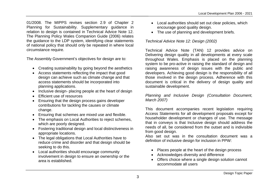01/2008. The MIPPS revises section 2.9 of Chapter 2 Planning for Sustainability. Supplementary guidance in relation to design is contained in Technical Advice Note 12. The Planning Policy Wales Companion Guide (2006) relates the guidance to the LDP system, identifying clear statements of national policy that should only be repeated in where local circumstance require.

The Assembly Government's objectives for design are to:

- Creating sustainability by going beyond the aesthetics
- Access statements reflecting the impact that good design can achieve such as climate change and that access statements should be incorporated into planning applications.
- Inclusive design- placing people at the heart of design
- Efficient use of resources
- Ensuring that the design process gains developer contributions for tackling the causes or climate change.
- Ensuring that schemes are mixed use and flexible.
- The emphasis on Local Authorities to reject schemes, which are poorly designed.
- Fostering traditional design and local distinctiveness in appropriate locations.
- The legal obligations that Local Authorities have to reduce crime and disorder and that design should be seeking to do this.
- Local authorities should encourage community involvement in design to ensure an ownership or the area is established.
- Local authorities should set out clear policies, which encourage good quality design.
- The use of planning and development briefs.

# *Technical Advice Note 12: Design (2002)*

Technical Advice Note (TAN) 12 provides advice on Delivering design quality in all developments at every scale throughout Wales. Emphasis is placed on the planning system to be pro-active in raising the standard of design and raising awareness of design issues with the public and developers. Achieving good design is the responsibility of all those involved in the design process. Adherence with this document is critical in the delivery of design quality and sustainable development.

#### *Planning and Inclusive Design (Consultation Document, March 2007)*

This document accompanies recent legislation requiring Access Statements for all development proposals except for householder development or changes of use. The message that in conveys is that Inclusive design should address the needs of all, be considered from the outset and is indivisible from good design.

Also set out was in the consultation document was a definition of inclusive design for inclusion in PPW:

- Places people at the heart of the design process
- Acknowledges diversity and difference
- Offers choice where a single design solution cannot accommodate all users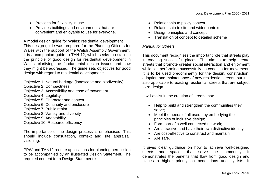- Provides for flexibility in use
- Provides buildings and environments that are convenient and enjoyable to use for everyone.

A model design guide for Wales: residential development This design guide was prepared for the Planning Officers for Wales with the support of the Welsh Assembly Government. It is a companion guide to TAN 12, which seeks to establish the principle of good design for residential development in Wales, clarifying the fundamental design issues and how they might be addressed. The guide sets objectives for good design with regard to residential development:

Objective 1: Natural heritage (landscape and biodiversity)

Objective 2: Compactness

Objective 3: Accessibility and ease of movement

- Objective 4: Legibility
- Objective 5: Character and context
- Objective 6: Continuity and enclosure
- Objective 7: Public realm
- Objective 8: Variety and diversity
- Objective 9: Adaptability
- Objective 10: Resource efficiency

The importance of the design process is emphasised. This should include consultation, context and site appraisal, visioning.

PPW and TAN12 require applications for planning permission to be accompanied by an illustrated Design Statement. The required content for a Design Statement is:

- Relationship to policy context
- Relationship to site and wider context
- Design principles and concept
- Translation of concept to detailed scheme

# *Manual for Streets*

This document recognises the important role that streets play in creating successful places. The aim is to help create streets that promote greater social interaction and enjoyment while still performing successfully as conduits for movement. It is to be used predominantly for the design, construction, adoption and maintenance of new residential streets, but it is also applicable to existing residential streets that are subject to re-design.

It will assist in the creation of streets that:

- Help to build and strengthen the communities they serve;
- Meet the needs of all users, by embodying the principles of inclusive design;
- Form part of a well-connected network:
- Are attractive and have their own distinctive identity;
- Are cost-effective to construct and maintain:
- Are safe.

It gives clear guidance on how to achieve well-designed streets and spaces that serve the community. It demonstrates the benefits that flow from good design and places a higher priority on pedestrians and cyclists. It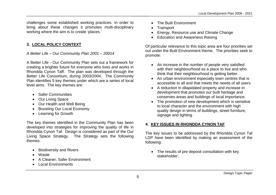challenges some established working practices. In order to bring about these changes it promotes multi-disciplinary working where the aim is to create 'places.'

#### **3. LOCAL POLICY CONTEXT**

#### *A Better Life – Our Community Plan 2001 – 20014*

A Better Life - Our Community Plan sets out a framework for creating a brighter future for everyone who lives and works in Rhondda Cynon Taff. The plan was developed through the Better Life Consortium, during 2003/2004. The Community Plan identifies 5 key themes under which are a series of local level aims. The key themes are:

- Safer Communities
- Our Living Space
- Our Health and Well Being
- Boosting Our Local Economy
- Learning for Growth

The key themes identified in the Community Plan has been developed into strategies for improving the quality of life in Rhondda Cynon Taf. Design is considered as part of the Our Living Space Strategy. The Strategy sets the following themes:

- Biodiversity and Rivers
- **Waste**
- A Cleaner, Safer Environment
- Local Environments
- The Built Environment
- **Transport**
- Energy, Resource use and Climate Change
- Education and Awareness Raising

Of particular relevance to this topic area are four priorities set out under the Built Environment theme. The priorities seek to promote:

- An increase in the number of people very satisfied with their neighbourhood as a place to live and who think that their neighbourhood is getting better.
- An urban environment especially town centres that is accessible to all and that meets the needs of all users
- A reduction in dilapidated property and increase in development that promotes our built heritage and conserves areas and buildings of local importance.
- The promotion of new development which is sensitive to local character and the environment with high quality design in terms of buildings, street furniture, signage and lighting

# **4. KEY ISSUES IN RHONDDA CYNON TAF**

The key issues to be addressed by the Rhondda Cynon Taf LDP have been identified by making an assessment of the following:

• The results of pre deposit consultation with key stakeholder;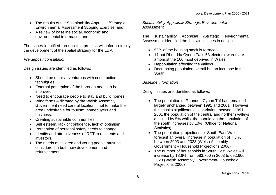- The results of the Sustainability Appraisal / Strategic Environmental Assessment Scoping Exercise; and
- A review of baseline social, economic and environmental information and

The issues identified through this process will inform directly the development of the spatial strategy for the LDP.

#### *Pre deposit consultation*

Design issues are identified as follows:

- Should be more adventurous with construction techniques
- External perception of the borough needs to be improved
- Need to encourage people to stay and build homes
- Wind farms dictated by the Welsh Assembly Government need careful location if not to make the area undesirable for tourism, homebuyers and business.
- Creating sustainable communities
- Self esteem, lack of confidence, lack of optimism
- Perception of personal safety needs to change
- Identity and attractiveness of RCT to residents and investors.
- The needs of children and young people must be considered in both new development and refurbishment

*Sustainability Appraisal/ Strategic Environmental Assessment*

The sustainability Appraisal /Strategic environmental Assessment identified the following issues in design:

- 53% of the housing stock is terraced
- 17 out Rhondda Cynon Taf's 53 electoral wards are amongst the 100 most deprived in Wales.
- Depopulation affecting the valleys
- Decreasing population overall but an increase in the South

# *Baseline information*

Design issues are identified as follows:

- The population of Rhondda Cynon Taf has remained largely unchanged between 1991 and 2001. However this masks significant local variation, between 1991 – 2001 the population of the central and northern valleys declined by 5% whilst the population the population of the south increases by 10% (Office for National Statistics)
- The population projections for South East Wales forecast an overall increase in population of 7.8 % between 2003 and 2023 (Welsh Assembly Government – Household Projections 2006)
- The number of households in South East Wales will increase by 18.6% from 583,700 in 2003 to 692,600 in 2023 (Welsh Assembly Government- Household Projections 2006)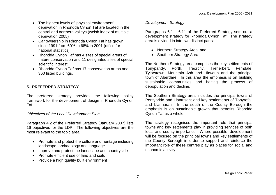- The highest levels of 'physical environment' deprivation in Rhondda Cynon Taf are located in the central and northern valleys (welsh index of multiple deprivation 2005)
- Car ownership in Rhondda Cynon Taf has grown since 1991 from 60% to 68% in 2001 (office for national statistics)
- Rhondda Cynon Taf has 4 sites of special areas of nature conservation and 11 designated sites of special scientific interest
- Rhondda Cynon Taf has 17 conservation areas and 360 listed buildings.

# **5. PREFERRED STRATEGY**

The preferred strategy provides the following policy framework for the development of design in Rhondda Cynon Taf.

#### *Objectives of the Local Development Plan*

Paragraph 4.2 of the Preferred Strategy (January 2007) lists 16 objectives for the LDP. The following objectives are the most relevant to the topic area;

- Promote and protect the culture and heritage including landscape, archaeology and language.
- Improve and protect the landscape and countryside
- Promote efficient use of land and soils
- Provide a high quality built environment

#### *Development Strategy*

Paragraphs 6.1 – 6.11 of the Preferred Strategy sets out a development strategy for Rhondda Cynon Taf. The strategy area is divided in into two distinct parts: -

- Northern Strategy Area, and
- Southern Strategy Area

The Northern Strategy area comprises the key settlements of Tonypandy, Porth, Treorchy, Treherbert, Ferndale, Tylorstown, Mountain Ash and Hirwaun and the principal town of Aberdare. In this area the emphasis is on building sustainable communities and halting the process of depopulation and decline.

The Southern Strategy area includes the principal towns of Pontypridd and Llantrisant and key settlements of Tonyrefail and Llanharan. In the south of the County Borough the emphasis is on sustainable growth that benefits Rhondda Cynon Taf as a whole.

The strategy recognises the important role that principal towns and key settlements play in providing services of both local and county importance. Where possible, development will be focused on the principal towns and key settlements of the County Borough in order to support and reinforce the important role of these centres play as places for social and economic activity.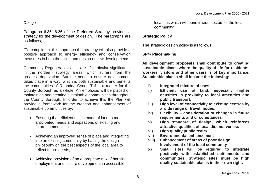#### *Design*

Paragraph 6.35- 6.36 of the Preferred Strategy provides a strategy for the development of design. The paragraphs are as follows;

"To compliment this approach the strategy will also provide a positive approach to energy efficiency and conservation measures in both the siting and design of new developments.

Community Regeneration aims are of particular significance in the northern strategy areas, which suffers from the greatest deprivation. But the need to ensure development takes place in a way, which is both sustainable and benefits the communities of Rhondda Cynon Taf is a matter for the County Borough as a whole. An emphasis will be placed on maintaining and creating sustainable communities throughout the County Borough. In order to achieve this the Plan will provide a framework for the creation and enhancement of sustainable communities by:

- Ensuring that efficient use is made of land to meet anticipated needs and aspirations of existing and future communities;
- Achieving an improved sense of place and integrating into an existing community by basing the design philosophy on the best aspects of the local area to reflect future needs;
- Achieving provision of an appropriate mix of housing, employment and leisure development in accessible

locations which will benefit wide sectors of the local community"

# **Strategic Policy**

The strategic design policy is as follows:

# **SP4- Placemaking**

**All development proposals shall contribute to creating sustainable places where the quality of life for residents, workers, visitors and other users is of key importance. Sustainable places shall include the following: -**

- **i) Integrated mixture of uses;**
- **ii) Efficient use of land, especially higher densities in proximity to local amenities and public transport;**
- **iii) High level of connectivity to existing centres by a wide range of travel modes;**
- **iv) Flexibility consideration of changes in future requirements and circumstances**
- **v) High standard of design, which reinforces attractive qualities of local distinctiveness**
- **vi) High quality public realm**
- **vii) Environmental enhancement**
- **viii) Enhancement of areas of poor design Involvement of the local community**
- **x) Small sites will be required to integrate positively with established settlements and communities. Strategic sites must be high quality sustainable places in their own right.**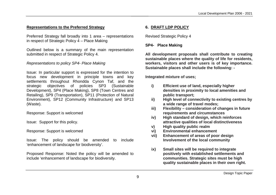#### **Representations to the Preferred Strategy**

Preferred Strategy fall broadly into 1 area – representations in respect of Strategic Policy 4 – Place Making

Outlined below is a summary of the main representation submitted in respect of Strategic Policy 4.

#### *Representations to policy SP4- Place Making*

Issue: In particular support is expressed for the intention to focus new development in principle towns and key settlements throughout Rhondda Cynon Taf, and the strategic objectives of policies SP3 (Sustainable Development), SP4 (Place Making), SP8 (Town Centres and Retailing), SP9 (Transportation), SP11 (Protection of Natural Environment), SP12 (Community Infrastructure) and SP13 (Waste).

Response: Support is welcomed

Issue: Support for this policy.

Response: Support is welcomed

Issue: The policy should be amended to include 'enhancement of landscape for biodiversity'.

Proposed Response: Noted the policy will be amended to include 'enhancement of landscape for biodiversity.

#### **6. DRAFT LDP POLICY**

Revised Strategic Policy 4

#### **SP4- Place Making**

**All development proposals shall contribute to creating sustainable places where the quality of life for residents, workers, visitors and other users is of key importance. Sustainable places shall include the following: -**

**Integrated mixture of uses;**

- **i) Efficient use of land, especially higher densities in proximity to local amenities and public transport;**
- **ii) High level of connectivity to existing centres by a wide range of travel modes;**
- **iii) Flexibility consideration of changes in future requirements and circumstances**
- **iv) High standard of design, which reinforces attractive qualities of local distinctiveness**
- **v) High quality public realm**
- **vi) Environmental enhancement**
- **vii) Enhancement of areas of poor design** Involvement of the local community
- **ix) Small sites will be required to integrate positively with established settlements and communities. Strategic sites must be high quality sustainable places in their own right.**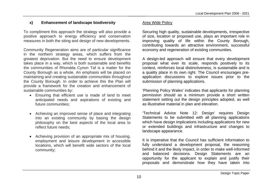# **x) Enhancement of landscape biodiversity**

To compliment this approach the strategy will also provide a positive approach to energy efficiency and conservation measures in both the siting and design of new developments.

Community Regeneration aims are of particular significance in the northern strategy areas, which suffers from the greatest deprivation. But the need to ensure development takes place in a way, which is both sustainable and benefits the communities of Rhondda Cynon Taf is a matter for the County Borough as a whole. An emphasis will be placed on maintaining and creating sustainable communities throughout the County Borough. In order to achieve this the Plan will provide a framework for the creation and enhancement of sustainable communities by:

- Ensuring that efficient use is made of land to meet anticipated needs and aspirations of existing and future communities;
- Achieving an improved sense of place and integrating into an existing community by basing the design philosophy on the best aspects of the local area to reflect future needs;
- Achieving provision of an appropriate mix of housing, employment and leisure development in accessible locations, which will benefit wide sectors of the local community;

# Area Wide Policy

Securing high quality, sustainable developments, irrespective of size, location or proposed use, plays an important role in improving quality of life within the County Borough, contributing towards an attractive environment, successful economy and regeneration of existing communities.

A design-led approach will ensure that every development proposal what ever its scale, responds positively to its context, reinforces local distinctiveness, is sustainable and is a quality place in its own right. The Council encourages preapplication discussions to explore issues prior to the submission of planning applications.

'Planning Policy Wales' indicates that applicants for planning permission should as a minimum provide a short written statement setting out the design principles adopted, as well as illustrative material in plan and elevation.

'Technical Advice Note 12: Design' requires Design Statements to be submitted with all planning applications which have design implications including applications for new or extended buildings and infrastructure and changes to landscape appearance.

It is imperative that the Council has sufficient information to fully understand a development proposal, the reasoning behind it and the likely impact, in order to make well-informed and balanced decisions. Design Statements are an opportunity for the applicant to explain and justify their proposals and demonstrate how they have taken into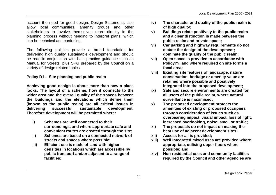account the need for good design. Design Statements also allow local communities, amenity groups and other stakeholders to involve themselves more directly in the planning process without needing to interpret plans, which can be technical and confusing.

The following policies provide a broad foundation for delivering high quality sustainable development and should be read in conjunction with best practice guidance such as Manual for Streets, plus SPG prepared by the Council on a variety of design related topics.

#### **Policy D1 - Site planning and public realm**

**Achieving good design is about more than how a place looks. The layout of a scheme, how it connects to the wider area and the overall quality of the spaces between the buildings and the elevations which define them (known as the public realm) are all critical issues in delivering successful sustainable development. Therefore development will be permitted where:**

- **i) Schemes are well connected to their surroundings, and where appropriate safe and convenient routes are created through the site;**
- **ii) Schemes are based on a connected network of streets and spaces where possible;**
- **iii) Efficient use is made of land with higher densities in locations which are accessible by public transport and/or adjacent to a range of facilities;**
- **iv) The character and quality of the public realm is of high quality;**
- **v) Buildings relate positively to the public realm and a clear distinction is made between the public realm and private space;**
- **vi) Car parking and highway requirements do not dictate the design of the development; dominate the quality of the public realm;**
- **vii) Open space is provided in accordance with Policy??. and where required on site forms a focal area;**
- **viii) Existing site features of landscape, nature conservation, heritage or amenity value are retained where possible and positively integrated into the proposed development;**
- **ix) Safe and secure environments are created for all users of the public realm, where natural surveillance is maximised;**
- **x) The proposed development protects the amenities of existing or proposed occupiers through consideration of issues such as overbearing impact, visual impact, loss of light, increased overlooking, noise, smell or traffic;**
- **xi) The proposals do not impact on making the best use of adjacent development sites;**
- **xii) Access for all is provided;**
- **xiii) Well integrated mixed uses are provided where appropriate, utilising upper floors where possible; and**
- **xiv) Non-residential uses and community facilities required by the Council and other agencies are**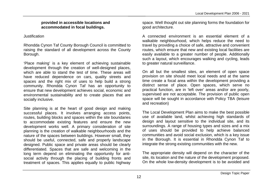#### **provided in accessible locations and accommodated in focal buildings.**

# Justification

Rhondda Cynon Taf County Borough Council is committed to raising the standard of all development across the County Borough.

'Place making' is a key element of achieving sustainable development through the creation of well-designed places, which are able to stand the test of time. These areas will have reduced dependence on cars, quality streets and spaces and the right mix of uses to help build a strong community. Rhondda Cynon Taf has an opportunity to ensure that new development achieves social, economic and environmental sustainability and to create places that are socially inclusive.

Site planning is at the heart of good design and making successful places. It involves arranging access points, routes, building blocks and spaces within the site boundaries to accommodate existing features and ensure the new development works well. A primary consideration of site planning is the creation of walkable neighbourhoods and the nature of the spaces between buildings. However small, they should be useful, connected, safe and properly landscape designed. Public space and private areas should be clearly differentiated. Spaces that are safe and welcoming in the long term depend on eliminating the opportunity for antisocial activity through the placing of building fronts and treatment of spaces. This applies equally to public highway space. Well thought out site planning forms the foundation for good architecture.

A connected environment is an essential element of a walkable neighbourhood, which helps reduce the need to travel by providing a choice of safe, attractive and convenient routes, which ensure that new and existing local facilities are easily available to a greater number of people. Additionally such a layout, which encourages walking and cycling, leads to greater natural surveillance.

On all but the smallest sites, an element of open space provision on site should meet local needs and at the same time create a focal area within the development providing a distinct sense of place. Open spaces, which serve no practical function, are in 'left over' areas and/or are poorly, supervised are not acceptable. The provision of public open space will be sought in accordance with Policy TBA (leisure and recreation)

The Local Development Plan aims to make the best possible use of available land, whilst achieving high standards of design and layout sensitive to the individual site, and its surroundings. A range of housing types and sizes and a mix of uses should be provided to help achieve balanced communities and avoid social exclusion, which is a key issue in the Borough. It is essential in Rhondda Cynon Taf to integrate the strong existing communities with the new.

The appropriate density will depend on the character of the site, its location and the nature of the development proposed. On the whole low-density development is to be avoided and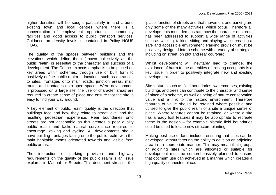higher densities will be sought particularly in and around existing town and local centres where there is a concentration of employment opportunities, community facilities and good access to public transport services. Guidance on density levels is contained in Policy HOUS (TBA).

The quality of the spaces between buildings and the elevations which define them (known collectively as the public realm) is essential to the character and success of a development. The Council expects emphasis to be placed on key areas within schemes, through use of built form to positively define public realm in locations such as entrances to sites, frontages onto main roads, junction areas, main routes and frontages onto open spaces. Were development is proposed on a large site, the use of character areas are required to create sense of place and ensure that the site is easy to find your way around.

A key element of public realm quality is the direction that buildings face and how they relate to street level and the resulting pedestrian experience. Rear boundaries onto streets are not acceptable as this creates a poor quality public realm and lacks natural surveillance required to encourage walking and cycling. All developments should have building frontages facing onto the public realm with the main habitable rooms orientated towards and visible from public areas.

The interaction of parking provision and highway requirements on the quality of the public realm is an issue explored in Manual for Streets. This document stresses the

'place' function of streets and that movement and parking are only some of the many activities, which occur. Therefore all developments must demonstrate how the character of streets has been addressed to support a wide range of activities such as walking, talking, sitting and playing whilst creating a safe and accessible environment. Parking provision must be positively designed into a scheme with a variety of strategies including on street, on plot and rear courtyard.

Whilst development will inevitably lead to change, the avoidance of harm to the amenities of existing occupants is a key issue in order to positively integrate new and existing development.

Site features such as field boundaries, watercourses, existing buildings and trees can contribute to the character and sense of place of a scheme, as well as being of nature conservation value and a link to the historic environment. Therefore features of value should be retained where possible and utilised to give the public realm of a site a unique sense of place. Where features cannot be retained, or where a site has already lost features it may be appropriate to recreate these in the design – for example historic field boundaries could be used to locate new structure planting.

Making best use of land includes ensuring that sites can be developed without fettering the ability to develop an adjoining area in an appropriate manner. This may mean that groups of adjoining sites which are allocated or suitable for development must be comprehensively planned to ensure that optimum use can achieved in a manner which creates a high quality connected place.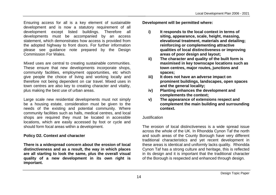Ensuring access for all is a key element of sustainable development and is now a statutory requirement of all development except listed buildings. Therefore all developments must be accompanied by an access statement, which demonstrates how access is provided from the adopted highway to front doors. For further information please see guidance note prepared by the Design Commission For Wales.

Mixed uses are central to creating sustainable communities. These ensure that new developments incorporate shops, community facilities, employment opportunities, etc which give people the choice of living and working locally and therefore not being dependent on car travel. Mixed uses in town centres are also key to creating character and vitality, plus making the best use of urban areas.

Large scale new residential developments must not simply be a housing estate, consideration must be given to the needs of the existing and potential community. Where community facilities such as halls, medical centres, and local shops are required they must be located in accessible locations, which are easily accessed by foot or cycle and should form focal areas within a development.

#### **Policy D2. Context and character**

**There is a widespread concern about the erosion of local distinctiveness and as a result, the way in which places are all starting to look the same, plus the overall visual quality of a new development in its own right is important.**

**Development will be permitted where:** 

- **i) It responds to the local context in terms of siting, appearance, scale, height, massing, elevational treatment, materials and detailing; reinforcing or complementing attractive qualities of local distinctiveness or improving areas of poor design and layout;**
- **ii) The character and quality of the built form is maximised in key townscape locations such as town centres, major routes, junctions and spaces;**
- **iii) It does not have an adverse impact on prominent buildings, landscapes, open spaces and the general locality;**
- **iv) Planting enhances the development and complements the context;**
- **v) The appearance of extensions respect and complement the main building and surrounding context.**

#### Justification

The erosion of local distinctiveness is a wide spread issue across the whole of the UK. In Rhondda Cynon Taf the north and south areas of the County Borough have very different traditional characteristics and yet recent development in these areas is identical and uniformly lacks quality. Rhondda Cynon Taf has a strong culture and heritage, this is reflected in its design and it is important that the traditional character of the Borough is respected and enhanced through design.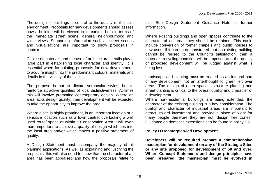The design of buildings is central to the quality of the built environment. Proposals for new developments should assess how a building will be viewed in its context both in terms of the immediate street scene, general neighbourhood and wider views. Supporting information such as street scenes and visualisations are important to show proposals in context.

Choice of materials and the use of architectural details play a large part in establishing local character and identity. It is essential when formulating proposals for new development, to acquire insight into the predominant colours, materials and details in the vicinity of the site.

The purpose is not to dictate vernacular styles, but to reinforce attractive qualities of local distinctiveness. At times this will involve promoting contemporary design. Where an area lacks design quality, then development will be expected to take the opportunity to improve the area.

Where a site is highly prominent, in an important location or a sensitive location such as a town centre, overlooking a well used route/ space or within a Conservation Area it will even more important to achieve a quality of design which ties into the local area and/or which makes a positive statement of quality.

A Design Statement must accompany the majority of all planning applications. As well as explaining and justifying the proposals, this will also need to show that the character of an area has been appraised and how the proposals relate to this. See Design Statement Guidance Note for further information.

Where existing buildings and open spaces contribute to the character of an area, they should be retained. This could include conversion of former chapels and public houses to new uses. If it can be demonstrated that an existing building cannot be reused to the Council's satisfaction, then a materials recycling condition will be imposed and the quality of proposed development will be judged against what is being lost.

Landscape and planting must be treated as an integral part of any development not an afterthought to green left over areas. The design of open spaces, structure planting and street planting is critical to the overall quality and character of a development.

Where non-residential buildings are being extended, the character of the existing building is a key consideration. The quality and character of industrial areas are important to attract inward investment and provide a place of work for many people therefore they are not 'design free zones'. Guidance on domestic extensions can be found in policy D5.

#### **Policy D3 Masterplan-led Development**

**Developers will be required prepare a comprehensive masterplan for development on any of the Strategic Sites or any site proposed for development of 50 and over. Where Concept Statements and design principles have been prepared, the masterplan must be evolved in**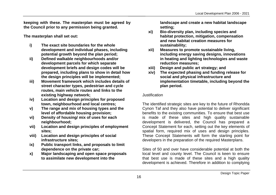**keeping with these. The masterplan must be agreed by the Council prior to any permission being granted.** 

**The masterplan shall set out:**

- **i) The exact site boundaries for the whole development and individual phases, including potential growth beyond the plan period;**
- **ii) Defined walkable neighbourhoods and/or development parcels for which separate development briefs and design codes will be prepared, including plans to show in detail how the design principles will be implemented;**
- **iii) Movement framework which includes details of street character types, pedestrian and cycle routes, main vehicle routes and links to the existing highway network;**
- **iv) Location and design principles for proposed town, neighbourhood and local centres;**
- **v) The range and mix of housing types and the level of affordable housing provision;**
- **vi) Density of housing/ mix of uses for each neighbourhood;**
- **vii) Location and design principles of employment sites;**
- **viii) Location and design principles of social infrastructure sites;**
- **ix) Public transport links, and proposals to limit dependence on the private car;**
- **x) Major landscaping and open space proposals to assimilate new development into the**

**landscape and create a new habitat landscape setting;**

- **xi) Bio-diversity plan, including species and habitat protection, mitigation, compensation and new habitat creation measures for sustainability;**
- **xii) Measures to promote sustainable living, including energy saving designs, innovations in heating and lighting technologies and waste reduction measures;**
- **xiii) Design and public art strategy; and**
- **xiv) The expected phasing and funding release for social and physical infrastructure and implementation timetable, including beyond the plan period.**

#### Justification

The identified strategic sites are key to the future of Rhondda Cynon Taf and they also have potential to deliver significant benefits to the existing communities. To ensure that best use is made of these sites and high quality sustainable development is delivered, the Council has prepared a Concept Statement for each, setting out the key elements of spatial form, required mix of uses and design principles. These Concept Statements will form the starting point for developers in the preparation of the required Masterplans.

Sites of 50 and over have considerable potential at both the local level and county level. The Council is keen to ensure that best use is made of these sites and a high quality development is achieved. Therefore in addition to complying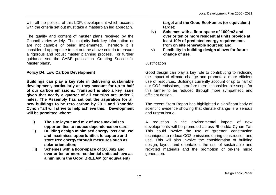with all the policies of this LDP, development which accords with the criteria set out must take a masterplan led approach.

The quality and content of master plans received by the Council varies widely. The majority lack key information or are not capable of being implemented. Therefore it is considered appropriate to set out the above criteria to ensure a rigorous and robust master planning process. For further guidance see the CABE publication 'Creating Successful Master plans'.

#### **Policy D4. Low Carbon Development**

**Buildings can play a key role in delivering sustainable development, particularly as they account for up to half of our carbon emissions. Transport is also a key issue given that nearly a quarter of all car trips are under 2 miles. The Assembly has set out the aspiration for all new buildings to be zero carbon by 2011 and Rhondda Cynon Taff will strive to help achieve this. Development will be permitted where:**

- **i) The site layout and mix of uses maximises opportunities to reduce dependence on cars;**
- **ii) Building design minimised energy loss and use and maximises opportunities to capture and store free energy through measures such as solar orientation;**
- **iii) Schemes with a floor-space of 1000m2 and over or ten or more residential units achieve as a minimum the Good BREEAM (or equivalent)**

**target and the Good EcoHomes (or equivalent) target;**

- **iv) Schemes with a floor-space of 1000m2 and over or ten or more residential units provide at least 10% of predicted energy requirements from on site renewable sources; and**
- **v) Flexibility in building design allows for future change of use.**

#### Justification

Good design can play a key role to contributing to reducing the impact of climate change and promote a more efficient use of resources. Buildings currently account of up to half of our CO2 emissions, therefore there is considerable scope for this further to be reduced through more sympathetic and efficient design.

The recent Stern Report has highlighted a significant body of scientific evidence showing that climate change is a serious and urgent issue.

A reduction in the environmental impact of new developments will be promoted across Rhondda Cynon Taf. This could involve the use of 'greener' construction techniques to reduce CO2 emissions during construction and use. This will also involve the consideration of building design, layout and orientation, the use of sustainable and recycled materials and the promotion of on-site micro generation.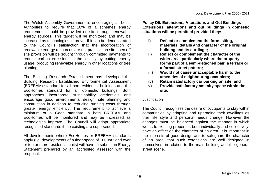The Welsh Assembly Government is encouraging all Local Authorities to require that 10% of a schemes energy requirement should be provided on site through renewable energy sources. This target will be monitored and may be increased as technologies improve. If it can be demonstrated to the Council's satisfaction that the incorporation of renewable energy resources are not practical on site, then off site provision will be sought through committed payments to reduce carbon emissions in the locality by cutting energy usage, producing renewable energy in other locations or tree planting.

The Building Research Establishment has developed the Building Research Established Environmental Assessment (BREEAM) standard for all non-residential buildings and the EcoHomes standard for all domestic buildings. Both approaches incorporate sustainability credentials and encourage good environmental design, site planning and construction in addition to reducing running costs through greater energy efficiency. The requirement to achieve a minimum of a Good standard in both BREEAM and EcoHomes will be monitored and may be increased as technologies improve. The Council will adopt appropriate recognised standards if the existing are superseded.

All developments where EcoHomes or BREEAM standards apply (i.e. developments of a floor-space of 1000m2 and over or ten or more residential units) will have to submit an Energy Statement prepared by an accredited assessor with the proposal.

**Policy D5. Extensions, Alterations and Out Buildings Extensions, alterations and out buildings in domestic situations will be permitted provided they:**

- **i) Reflect or complement the form, siting, materials, details and character of the original building and its curtilage;**
- **ii) Reflect or complement the character of the wider area, particularly where the property forms part of a semi-detached pair, a terrace or a formal street pattern;**
- **iii) Would not cause unacceptable harm to the amenities of neighbouring occupiers;**
- **iv) Retain satisfactory car parking on site; and**
- **v) Provide satisfactory amenity space within the site.**

#### **Justification**

The Council recognises the desire of occupants to stay within communities by adapting and upgrading their dwellings as their life style and personal needs change. However the changes must be balanced against the manner in which works to existing properties both individually and collectively, have an effect on the character of an area. It is important in the interests of good design and to safeguard the character of an area, that such extensions are well designed in themselves, in relation to the main building and the general street scene.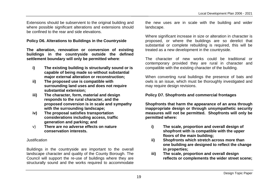Extensions should be subservient to the original building and where possible significant alterations and extensions should be confined to the rear and side elevations.

#### **Policy D6. Alterations to Buildings in the Countryside**

**The alteration, renovation or conversion of existing buildings in the countryside outside the defined settlement boundary will only be permitted where**:

- **i) The existing building is structurally sound or is capable of being made so without substantial major external alteration or reconstruction;**
- **ii) The proposed use is compatible with surrounding land uses and does not require substantial extension;**
- **iii) The character, form, material and design responds to the rural character, and the proposed conversion is in scale and sympathy with the surrounding landscape;**
- **iv) The proposal satisfies transportation considerations including access, traffic generation and parking; and**
- v) **There are no adverse effects on nature conservation interests.**

#### Justification

Buildings in the countryside are important to the overall landscape character and quality of the County Borough. The Council will support the re-use of buildings where they are structurally sound and the works required to accommodate

the new uses are in scale with the building and wider landscape.

Where significant increase in size or alteration in character is proposed, or where the buildings are so derelict that substantial or complete rebuilding is required, this will be treated as a new development in the countryside.

The character of new works could be traditional or contemporary provided they are rural in character and compatible with the existing character of the building.

When converting rural buildings the presence of bats and owls is an issue, which must be thoroughly investigated and may require design revisions.

#### **Policy D7. Shopfronts and commercial frontages**

**Shopfronts that harm the appearance of an area through inappropriate design or through unsympathetic security measures will not be permitted. Shopfronts will only be permitted where:**

- **i) The scale, proportion and overall design of shopfront with is compatible with the upper floors of the main building;**
- **ii) Shopfronts which stretch across more than one building are designed to reflect the change in properties;**
- **iii) The scale, proportion and overall design reflects or complements the wider street scene;**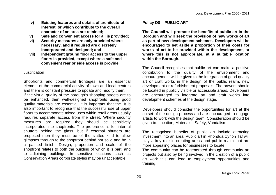- **iv) Existing features and details of architectural interest, or which contribute to the overall character of an area are retained;**
- **v) Safe and convenient access for all is provided;**
- **vi) Security measures are only provided where necessary, and if required are discretely incorporated and designed; and**
- **vii) Independent ground floor access to the upper floors is provided, except where a safe and convenient rear or side access is provide**

#### Justification

Shopfronts and commercial frontages are an essential element of the commercial activity of town and local centres and there is constant pressure to update and modify them. If the visual quality of the borough's shopping streets are to be enhanced, then well-designed shopfronts using good quality materials are essential. It is important that the. It is also important to recognise that the successful use of upper floors to accommodate mixed uses within retail areas usually requires separate access from the street. Where security measures are required they should be sensitively incorporated into shopfronts. The preference is for internal shutters behind the glass, but if external shutters are proposed then they must be of the slatted kind to allow glimpses through to the shopfront behind not solid and be in a painted finish. Design, proportion and scale of the shopfront relates to both the building of which it is part, and to adjoining buildings. In sensitive locations such as Conservation Areas corporate styles may be unacceptable.

#### **Policy D8 – PUBLIC ART**

**The Council will promote the benefits of public art in the Borough and will seek the provision of new works of art as part of new development schemes. Developers will be encouraged to set aside a proportion of their costs for works of art to be provided within the development, or where this is not appropriate, at a suitable location within the Borough.**

The Council recognises that public art can make a positive contribution to the quality of the environment and encouragement will be given to the integration of good quality art or craft works in the design of the public realm, new development or refurbishment proposals. The artwork should be located in publicly visible or accessible areas. Developers are encouraged to integrate art and craft works into development schemes at the design stage.

Developers should consider the opportunities for art at the outset of the design process and are encouraged to engage artists to work with the design team. Consideration should be given to: Location, Materials , Safety, Vandalism.

The recognised benefits of public art include attracting investment into an area. Public art in Rhondda Cynon Taf will play a key role in creating areas and public realm that are more appealing places for businesses to locate.

The community can be regenerated through community art projects but also by being involved in the creation of a public art work this can lead to employment opportunities and training.